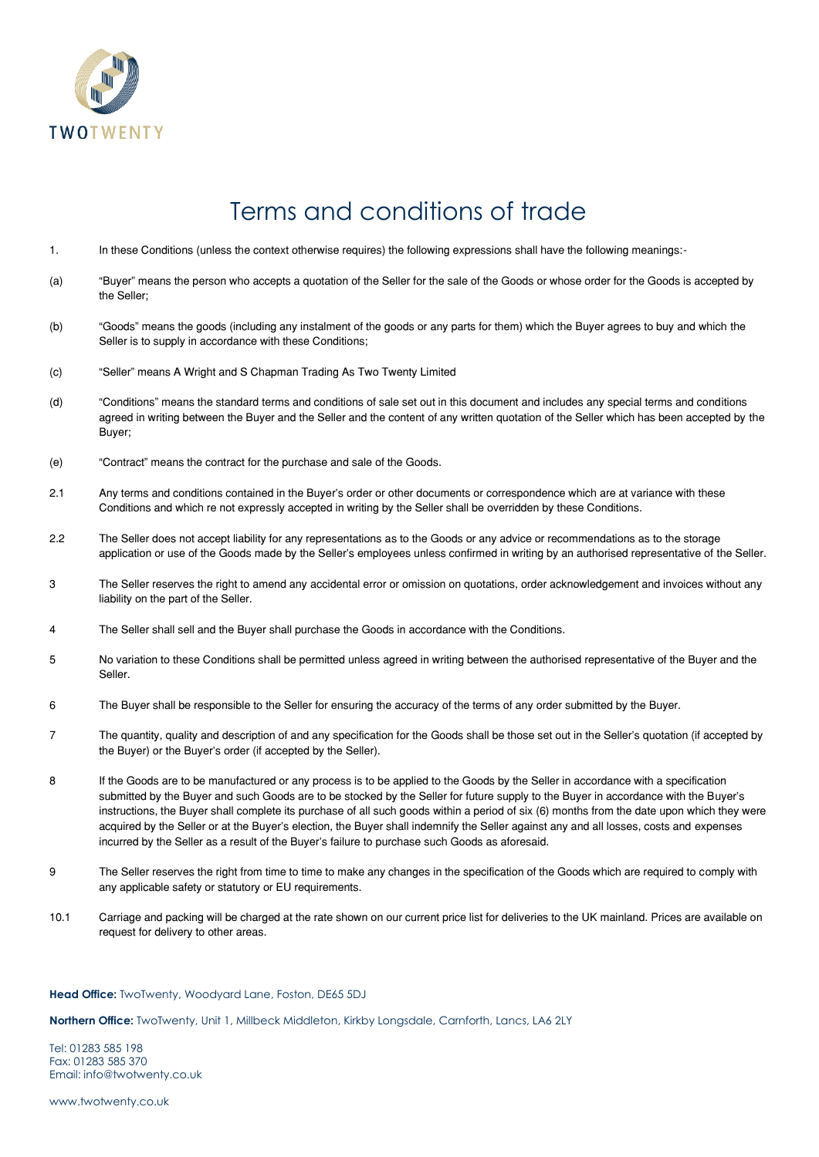

## Terms and conditions of trade

- 1. In these Conditions (unless the context otherwise requires) the following expressions shall have the following meanings:-
- (a) "Buyer" means the person who accepts a quotation of the Seller for the sale of the Goods or whose order for the Goods is accepted by the Seller;
- (b) "Goods" means the goods (including any instalment of the goods or any parts for them) which the Buyer agrees to buy and which the Seller is to supply in accordance with these Conditions;
- (c) "Seller" means A Wright and S Chapman Trading As Two Twenty Limited
- (d) "Conditions" means the standard terms and conditions of sale set out in this document and includes any special terms and conditions agreed in writing between the Buyer and the Seller and the content of any written quotation of the Seller which has been accepted by the Buyer;
- (e) "Contract" means the contract for the purchase and sale of the Goods.
- 2.1 Any terms and conditions contained in the Buyer's order or other documents or correspondence which are at variance with these Conditions and which re not expressly accepted in writing by the Seller shall be overridden by these Conditions.
- 2.2 The Seller does not accept liability for any representations as to the Goods or any advice or recommendations as to the storage application or use of the Goods made by the Seller's employees unless confirmed in writing by an authorised representative of the Seller.
- 3 The Seller reserves the right to amend any accidental error or omission on quotations, order acknowledgement and invoices without any liability on the part of the Seller.
- 4 The Seller shall sell and the Buyer shall purchase the Goods in accordance with the Conditions.
- 5 No variation to these Conditions shall be permitted unless agreed in writing between the authorised representative of the Buyer and the Seller.
- 6 The Buyer shall be responsible to the Seller for ensuring the accuracy of the terms of any order submitted by the Buyer.
- 7 The quantity, quality and description of and any specification for the Goods shall be those set out in the Seller's quotation (if accepted by the Buyer) or the Buyer's order (if accepted by the Seller).
- 8 If the Goods are to be manufactured or any process is to be applied to the Goods by the Seller in accordance with a specification submitted by the Buyer and such Goods are to be stocked by the Seller for future supply to the Buyer in accordance with the Buyer's instructions, the Buyer shall complete its purchase of all such goods within a period of six (6) months from the date upon which they were acquired by the Seller or at the Buyer's election, the Buyer shall indemnify the Seller against any and all losses, costs and expenses incurred by the Seller as a result of the Buyer's failure to purchase such Goods as aforesaid.
- 9 The Seller reserves the right from time to time to make any changes in the specification of the Goods which are required to comply with any applicable safety or statutory or EU requirements.
- 10.1 Carriage and packing will be charged at the rate shown on our current price list for deliveries to the UK mainland. Prices are available on request for delivery to other areas.

## **Head Office:** TwoTwenty, Woodyard Lane, Foston, DE65 5DJ

**Northern Office:** TwoTwenty, Unit 1, Millbeck Middleton, Kirkby Longsdale, Carnforth, Lancs, LA6 2LY

Tel: 01283 585 198 Fax: 01283 585 370 Email: info@twotwenty.co.uk

www.twotwenty.co.uk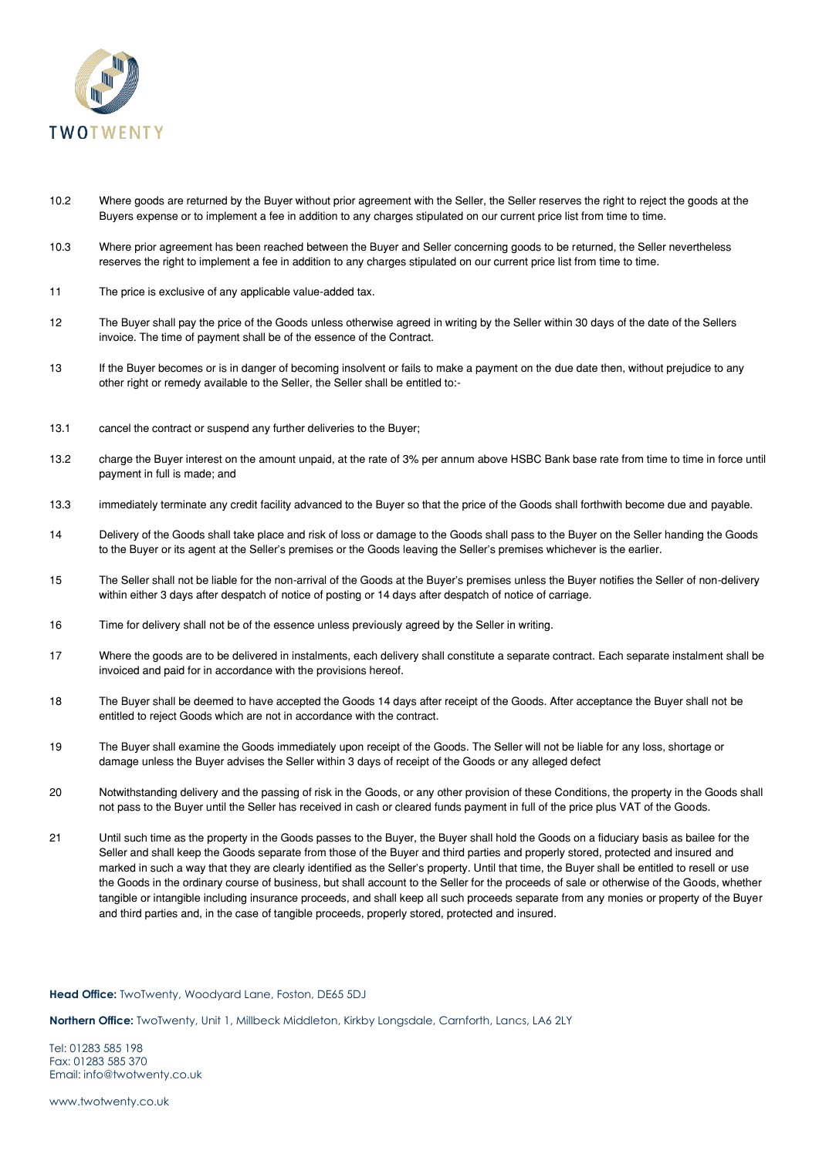

- 10.2 Where goods are returned by the Buyer without prior agreement with the Seller, the Seller reserves the right to reject the goods at the Buyers expense or to implement a fee in addition to any charges stipulated on our current price list from time to time.
- 10.3 Where prior agreement has been reached between the Buyer and Seller concerning goods to be returned, the Seller nevertheless reserves the right to implement a fee in addition to any charges stipulated on our current price list from time to time.
- 11 The price is exclusive of any applicable value-added tax.
- 12 The Buyer shall pay the price of the Goods unless otherwise agreed in writing by the Seller within 30 days of the date of the Sellers invoice. The time of payment shall be of the essence of the Contract.
- 13 If the Buyer becomes or is in danger of becoming insolvent or fails to make a payment on the due date then, without prejudice to any other right or remedy available to the Seller, the Seller shall be entitled to:-
- 13.1 cancel the contract or suspend any further deliveries to the Buyer;
- 13.2 charge the Buyer interest on the amount unpaid, at the rate of 3% per annum above HSBC Bank base rate from time to time in force until payment in full is made; and
- 13.3 immediately terminate any credit facility advanced to the Buyer so that the price of the Goods shall forthwith become due and payable.
- 14 Delivery of the Goods shall take place and risk of loss or damage to the Goods shall pass to the Buyer on the Seller handing the Goods to the Buyer or its agent at the Seller's premises or the Goods leaving the Seller's premises whichever is the earlier.
- 15 The Seller shall not be liable for the non-arrival of the Goods at the Buyer's premises unless the Buyer notifies the Seller of non-delivery within either 3 days after despatch of notice of posting or 14 days after despatch of notice of carriage.
- 16 Time for delivery shall not be of the essence unless previously agreed by the Seller in writing.
- 17 Where the goods are to be delivered in instalments, each delivery shall constitute a separate contract. Each separate instalment shall be invoiced and paid for in accordance with the provisions hereof.
- 18 The Buyer shall be deemed to have accepted the Goods 14 days after receipt of the Goods. After acceptance the Buyer shall not be entitled to reject Goods which are not in accordance with the contract.
- 19 The Buyer shall examine the Goods immediately upon receipt of the Goods. The Seller will not be liable for any loss, shortage or damage unless the Buyer advises the Seller within 3 days of receipt of the Goods or any alleged defect
- 20 Notwithstanding delivery and the passing of risk in the Goods, or any other provision of these Conditions, the property in the Goods shall not pass to the Buyer until the Seller has received in cash or cleared funds payment in full of the price plus VAT of the Goods.
- 21 Until such time as the property in the Goods passes to the Buyer, the Buyer shall hold the Goods on a fiduciary basis as bailee for the Seller and shall keep the Goods separate from those of the Buyer and third parties and properly stored, protected and insured and marked in such a way that they are clearly identified as the Seller's property. Until that time, the Buyer shall be entitled to resell or use the Goods in the ordinary course of business, but shall account to the Seller for the proceeds of sale or otherwise of the Goods, whether tangible or intangible including insurance proceeds, and shall keep all such proceeds separate from any monies or property of the Buyer and third parties and, in the case of tangible proceeds, properly stored, protected and insured.

**Head Office:** TwoTwenty, Woodyard Lane, Foston, DE65 5DJ

**Northern Office:** TwoTwenty, Unit 1, Millbeck Middleton, Kirkby Longsdale, Carnforth, Lancs, LA6 2LY

Tel: 01283 585 198 Fax: 01283 585 370 Email: info@twotwenty.co.uk

www.twotwenty.co.uk